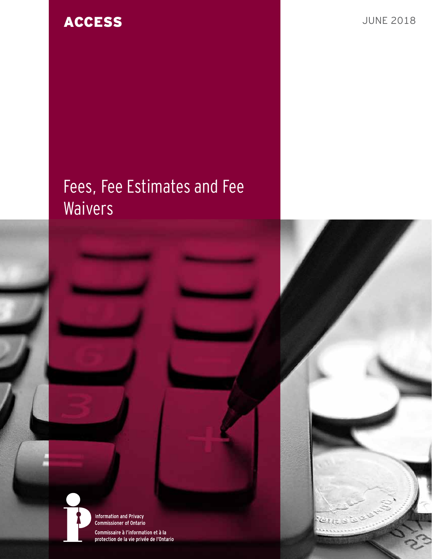# **ACCESS** JUNE 2018

# Fees, Fee Estimates and Fee **Waivers**



**Information and Privacy<br>Commissioner of Ontario** Commissaire à l'information et à la protection de la vie privée de l'Ontario

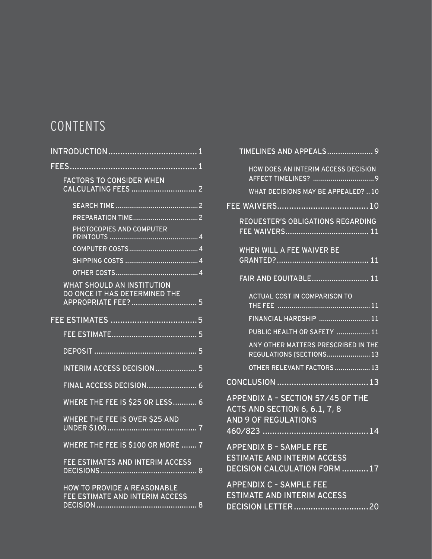# **CONTENTS**

| FEES                                                                              |  |
|-----------------------------------------------------------------------------------|--|
| <b>FACTORS TO CONSIDER WHEN</b>                                                   |  |
|                                                                                   |  |
|                                                                                   |  |
| PHOTOCOPIES AND COMPUTER                                                          |  |
|                                                                                   |  |
|                                                                                   |  |
|                                                                                   |  |
| WHAT SHOULD AN INSTITUTION<br>DO ONCE IT HAS DETERMINED THE<br>APPROPRIATE FEE? 5 |  |
|                                                                                   |  |
|                                                                                   |  |
|                                                                                   |  |
|                                                                                   |  |
| <b>INTERIM ACCESS DECISION  5</b>                                                 |  |
|                                                                                   |  |
| <b>WHERE THE FEE IS \$25 OR LESS 6</b>                                            |  |
| WHERE THE FEE IS OVER \$25 AND<br>UNDER \$100<br>. <del></del> .7                 |  |
| WHERE THE FEE IS \$100 OR MORE  7                                                 |  |
| FEE ESTIMATES AND INTERIM ACCESS<br>. 8                                           |  |
| <b>HOW TO PROVIDE A REASONABLE</b><br>FEE ESTIMATE AND INTERIM ACCESS<br>8        |  |
|                                                                                   |  |

| TIMELINES AND APPEALS 9                                                                              |
|------------------------------------------------------------------------------------------------------|
| HOW DOES AN INTERIM ACCESS DECISION                                                                  |
| WHAT DECISIONS MAY BE APPEALED?  10                                                                  |
|                                                                                                      |
| REQUESTER'S OBLIGATIONS REGARDING                                                                    |
| WHEN WILL A FEE WAIVER BE                                                                            |
|                                                                                                      |
| <b>ACTUAL COST IN COMPARISON TO</b>                                                                  |
| FINANCIAL HARDSHIP  11                                                                               |
| PUBLIC HEALTH OR SAFETY  11                                                                          |
| ANY OTHER MATTERS PRESCRIBED IN THE<br>REGULATIONS [SECTIONS 13                                      |
| OTHER RELEVANT FACTORS  13                                                                           |
|                                                                                                      |
| APPENDIX A - SECTION 57/45 OF THE<br><b>ACTS AND SECTION 6, 6.1, 7, 8</b><br>AND 9 OF REGULATIONS    |
| <b>APPENDIX B - SAMPLE FEE</b><br><b>ESTIMATE AND INTERIM ACCESS</b><br>DECISION CALCULATION FORM 17 |
| <b>APPENDIX C - SAMPLE FEE</b><br><b>ESTIMATE AND INTERIM ACCESS</b>                                 |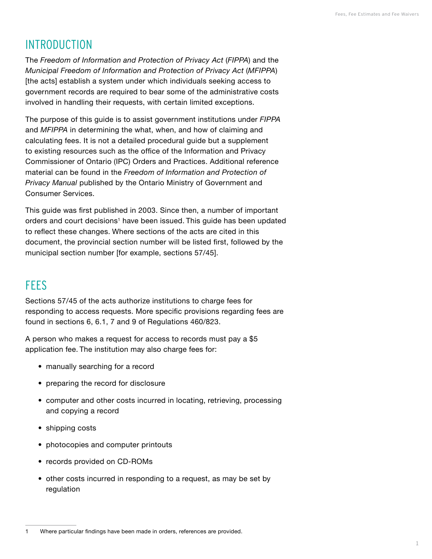# <span id="page-2-0"></span>INTRODUCTION

The *Freedom of Information and Protection of Privacy Act* (*FIPPA*) and the *Municipal Freedom of Information and Protection of Privacy Act* (*MFIPPA*) [the acts] establish a system under which individuals seeking access to government records are required to bear some of the administrative costs involved in handling their requests, with certain limited exceptions.

The purpose of this guide is to assist government institutions under *FIPPA* and *MFIPPA* in determining the what, when, and how of claiming and calculating fees. It is not a detailed procedural guide but a supplement to existing resources such as the office of the Information and Privacy Commissioner of Ontario (IPC) Orders and Practices. Additional reference material can be found in the *Freedom of Information and Protection of Privacy Manual* published by the Ontario Ministry of Government and Consumer Services.

This guide was first published in 2003. Since then, a number of important orders and court decisions<sup>1</sup> have been issued. This quide has been updated to reflect these changes. Where sections of the acts are cited in this document, the provincial section number will be listed first, followed by the municipal section number [for example, sections 57/45].

# **FFFS**

Sections 57/45 of the acts authorize institutions to charge fees for responding to access requests. More specific provisions regarding fees are found in sections 6, 6.1, 7 and 9 of Regulations 460/823.

A person who makes a request for access to records must pay a \$5 application fee. The institution may also charge fees for:

- manually searching for a record
- preparing the record for disclosure
- computer and other costs incurred in locating, retrieving, processing and copying a record
- shipping costs
- photocopies and computer printouts
- records provided on CD-ROMs
- other costs incurred in responding to a request, as may be set by regulation

<sup>1</sup> Where particular findings have been made in orders, references are provided.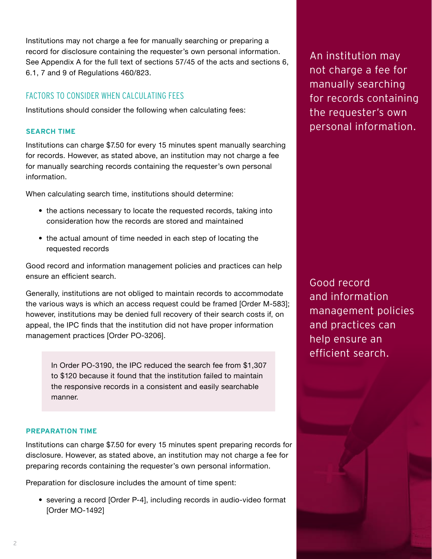Institutions should consider the following when calculating fees:

FACTORS TO CONSIDER WHEN CALCULATING FEES

6.1, 7 and 9 of Regulations 460/823.

#### **SEARCH TIME**

Institutions can charge \$7.50 for every 15 minutes spent manually searching for records. However, as stated above, an institution may not charge a fee for manually searching records containing the requester's own personal information.

<span id="page-3-0"></span>Institutions may not charge a fee for manually searching or preparing a record for disclosure containing the requester's own personal information. See Appendix A for the full text of sections 57/45 of the acts and sections 6,

When calculating search time, institutions should determine:

- the actions necessary to locate the requested records, taking into consideration how the records are stored and maintained
- the actual amount of time needed in each step of locating the requested records

Good record and information management policies and practices can help ensure an efficient search.

Generally, institutions are not obliged to maintain records to accommodate the various ways is which an access request could be framed [Order M-583]; however, institutions may be denied full recovery of their search costs if, on appeal, the IPC finds that the institution did not have proper information management practices [Order PO-3206].

In Order PO-3190, the IPC reduced the search fee from \$1,307 to \$120 because it found that the institution failed to maintain the responsive records in a consistent and easily searchable manner.

#### **PREPARATION TIME**

Institutions can charge \$7.50 for every 15 minutes spent preparing records for disclosure. However, as stated above, an institution may not charge a fee for preparing records containing the requester's own personal information.

Preparation for disclosure includes the amount of time spent:

• severing a record [Order P-4], including records in audio-video format [Order MO-1492]

An institution may not charge a fee for manually searching for records containing the requester's own personal information.

Good record and information management policies and practices can help ensure an efficient search.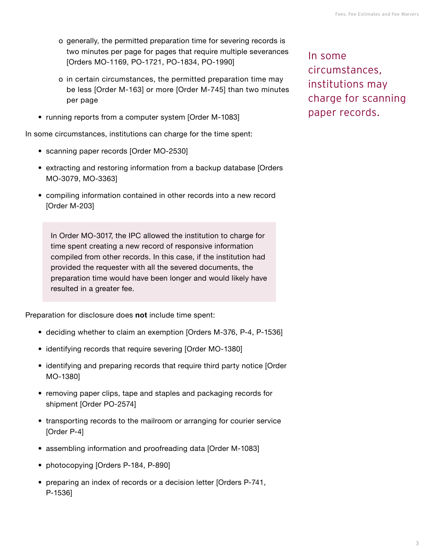- o generally, the permitted preparation time for severing records is two minutes per page for pages that require multiple severances [Orders MO-1169, PO-1721, PO-1834, PO-1990]
- o in certain circumstances, the permitted preparation time may be less [Order M-163] or more [Order M-745] than two minutes per page
- running reports from a computer system [Order M-1083]

In some circumstances, institutions can charge for the time spent:

- scanning paper records [Order MO-2530]
- extracting and restoring information from a backup database [Orders MO-3079, MO-3363]
- compiling information contained in other records into a new record [Order M-203]

In Order MO-3017, the IPC allowed the institution to charge for time spent creating a new record of responsive information compiled from other records. In this case, if the institution had provided the requester with all the severed documents, the preparation time would have been longer and would likely have resulted in a greater fee.

Preparation for disclosure does **not** include time spent:

- deciding whether to claim an exemption [Orders M-376, P-4, P-1536]
- identifying records that require severing [Order MO-1380]
- identifying and preparing records that require third party notice [Order MO-1380]
- removing paper clips, tape and staples and packaging records for shipment [Order PO-2574]
- transporting records to the mailroom or arranging for courier service [Order P-4]
- assembling information and proofreading data [Order M-1083]
- photocopying [Orders P-184, P-890]
- preparing an index of records or a decision letter [Orders P-741, P-1536]

In some circumstances, institutions may charge for scanning paper records.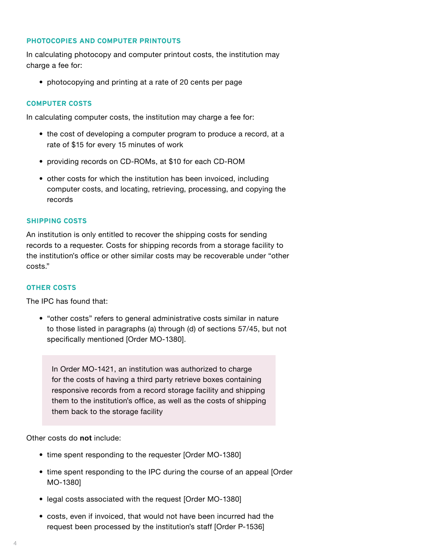#### <span id="page-5-0"></span>**PHOTOCOPIES AND COMPUTER PRINTOUTS**

In calculating photocopy and computer printout costs, the institution may charge a fee for:

• photocopying and printing at a rate of 20 cents per page

#### **COMPUTER COSTS**

In calculating computer costs, the institution may charge a fee for:

- the cost of developing a computer program to produce a record, at a rate of \$15 for every 15 minutes of work
- providing records on CD-ROMs, at \$10 for each CD-ROM
- other costs for which the institution has been invoiced, including computer costs, and locating, retrieving, processing, and copying the records

#### **SHIPPING COSTS**

An institution is only entitled to recover the shipping costs for sending records to a requester. Costs for shipping records from a storage facility to the institution's office or other similar costs may be recoverable under "other costs."

#### **OTHER COSTS**

The IPC has found that:

• "other costs" refers to general administrative costs similar in nature to those listed in paragraphs (a) through (d) of sections 57/45, but not specifically mentioned [Order MO-1380].

In Order MO-1421, an institution was authorized to charge for the costs of having a third party retrieve boxes containing responsive records from a record storage facility and shipping them to the institution's office, as well as the costs of shipping them back to the storage facility

Other costs do **not** include:

- time spent responding to the requester [Order MO-1380]
- time spent responding to the IPC during the course of an appeal [Order MO-1380]
- legal costs associated with the request [Order MO-1380]
- costs, even if invoiced, that would not have been incurred had the request been processed by the institution's staff [Order P-1536]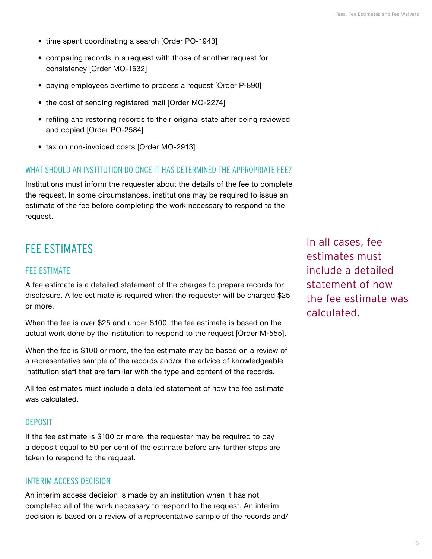- <span id="page-6-0"></span>• time spent coordinating a search [Order PO-1943]
- comparing records in a request with those of another request for consistency [Order MO-1532]
- paying employees overtime to process a request [Order P-890]
- the cost of sending registered mail [Order MO-2274]
- refiling and restoring records to their original state after being reviewed and copied [Order PO-2584]
- tax on non-invoiced costs [Order MO-2913]

#### WHAT SHOULD AN INSTITUTION DO ONCE IT HAS DETERMINED THE APPROPRIATE FFE?

Institutions must inform the requester about the details of the fee to complete the request. In some circumstances, institutions may be required to issue an estimate of the fee before completing the work necessary to respond to the request.

# FFF ESTIMATES

#### FEE ESTIMATE

A fee estimate is a detailed statement of the charges to prepare records for disclosure. A fee estimate is required when the requester will be charged \$25 or more.

When the fee is over \$25 and under \$100, the fee estimate is based on the actual work done by the institution to respond to the request [Order M-555].

When the fee is \$100 or more, the fee estimate may be based on a review of a representative sample of the records and/or the advice of knowledgeable institution staff that are familiar with the type and content of the records.

All fee estimates must include a detailed statement of how the fee estimate was calculated.

#### DEPOSIT

If the fee estimate is \$100 or more, the requester may be required to pay a deposit equal to 50 per cent of the estimate before any further steps are taken to respond to the request.

## INTERIM ACCESS DECISION

An interim access decision is made by an institution when it has not completed all of the work necessary to respond to the request. An interim decision is based on a review of a representative sample of the records and/ In all cases, fee estimates must include a detailed statement of how the fee estimate was calculated.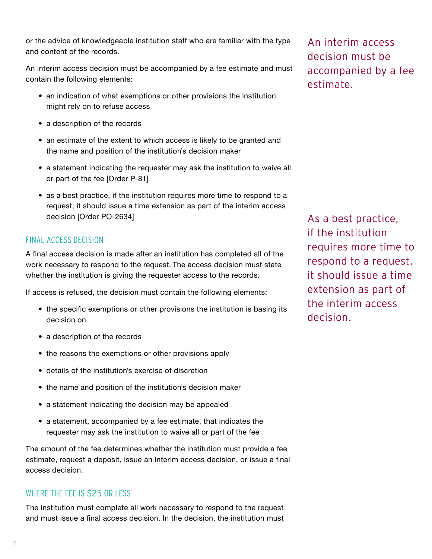<span id="page-7-0"></span>or the advice of knowledgeable institution staff who are familiar with the type and content of the records.

An interim access decision must be accompanied by a fee estimate and must contain the following elements:

- an indication of what exemptions or other provisions the institution might rely on to refuse access
- a description of the records
- an estimate of the extent to which access is likely to be granted and the name and position of the institution's decision maker
- a statement indicating the requester may ask the institution to waive all or part of the fee [Order P-81]
- as a best practice, if the institution requires more time to respond to a request, it should issue a time extension as part of the interim access decision [Order PO-2634]

# FINAL ACCESS DECISION

A final access decision is made after an institution has completed all of the work necessary to respond to the request. The access decision must state whether the institution is giving the requester access to the records.

If access is refused, the decision must contain the following elements:

- the specific exemptions or other provisions the institution is basing its decision on
- a description of the records
- the reasons the exemptions or other provisions apply
- details of the institution's exercise of discretion
- the name and position of the institution's decision maker
- a statement indicating the decision may be appealed
- a statement, accompanied by a fee estimate, that indicates the requester may ask the institution to waive all or part of the fee

The amount of the fee determines whether the institution must provide a fee estimate, request a deposit, issue an interim access decision, or issue a final access decision.

# WHERE THE FEE IS \$25 OR LESS

The institution must complete all work necessary to respond to the request and must issue a final access decision. In the decision, the institution must An interim access decision must be accompanied by a fee estimate.

As a best practice, if the institution requires more time to respond to a request, it should issue a time extension as part of the interim access decision.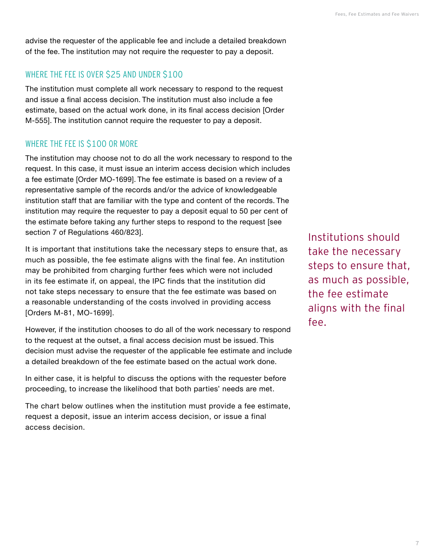<span id="page-8-0"></span>advise the requester of the applicable fee and include a detailed breakdown of the fee. The institution may not require the requester to pay a deposit.

## WHERE THE FEE IS OVER \$25 AND UNDER \$100

The institution must complete all work necessary to respond to the request and issue a final access decision. The institution must also include a fee estimate, based on the actual work done, in its final access decision [Order M-555]. The institution cannot require the requester to pay a deposit.

## WHERE THE FEE IS \$100 OR MORE

The institution may choose not to do all the work necessary to respond to the request. In this case, it must issue an interim access decision which includes a fee estimate [Order MO-1699]. The fee estimate is based on a review of a representative sample of the records and/or the advice of knowledgeable institution staff that are familiar with the type and content of the records. The institution may require the requester to pay a deposit equal to 50 per cent of the estimate before taking any further steps to respond to the request [see section 7 of Regulations 460/823].

It is important that institutions take the necessary steps to ensure that, as much as possible, the fee estimate aligns with the final fee. An institution may be prohibited from charging further fees which were not included in its fee estimate if, on appeal, the IPC finds that the institution did not take steps necessary to ensure that the fee estimate was based on a reasonable understanding of the costs involved in providing access [Orders M-81, MO-1699].

However, if the institution chooses to do all of the work necessary to respond to the request at the outset, a final access decision must be issued. This decision must advise the requester of the applicable fee estimate and include a detailed breakdown of the fee estimate based on the actual work done.

In either case, it is helpful to discuss the options with the requester before proceeding, to increase the likelihood that both parties' needs are met.

The chart below outlines when the institution must provide a fee estimate, request a deposit, issue an interim access decision, or issue a final access decision.

Institutions should take the necessary steps to ensure that, as much as possible, the fee estimate aligns with the final fee.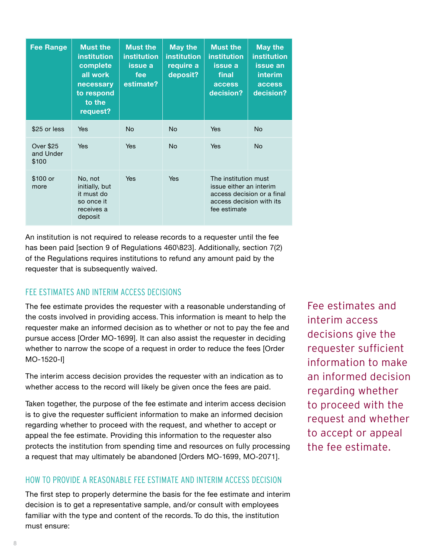<span id="page-9-0"></span>

| <b>Fee Range</b>                | <b>Must the</b><br><b>institution</b><br>complete<br>all work<br>necessary<br>to respond<br>to the<br>request? | <b>Must the</b><br><b>institution</b><br>issue a<br>fee<br>estimate? | <b>May the</b><br><b>institution</b><br>require a<br>deposit? | <b>Must the</b><br>institution<br>issue a<br>final<br>access<br>decision?                                                 | <b>May the</b><br><b>institution</b><br>issue an<br>interim<br>access<br>decision? |
|---------------------------------|----------------------------------------------------------------------------------------------------------------|----------------------------------------------------------------------|---------------------------------------------------------------|---------------------------------------------------------------------------------------------------------------------------|------------------------------------------------------------------------------------|
| \$25 or less                    | Yes                                                                                                            | <b>No</b>                                                            | <b>No</b>                                                     | <b>Yes</b>                                                                                                                | No                                                                                 |
| Over \$25<br>and Under<br>\$100 | <b>Yes</b>                                                                                                     | <b>Yes</b>                                                           | <b>No</b>                                                     | <b>Yes</b>                                                                                                                | <b>No</b>                                                                          |
| \$100 or<br>more                | No, not<br>initially, but<br>it must do<br>so once it<br>receives a<br>deposit                                 | <b>Yes</b>                                                           | <b>Yes</b>                                                    | The institution must<br>issue either an interim<br>access decision or a final<br>access decision with its<br>fee estimate |                                                                                    |

An institution is not required to release records to a requester until the fee has been paid [section 9 of Regulations 460\823]. Additionally, section 7(2) of the Regulations requires institutions to refund any amount paid by the requester that is subsequently waived.

# FEE ESTIMATES AND INTERIM ACCESS DECISIONS

The fee estimate provides the requester with a reasonable understanding of the costs involved in providing access. This information is meant to help the requester make an informed decision as to whether or not to pay the fee and pursue access [Order MO-1699]. It can also assist the requester in deciding whether to narrow the scope of a request in order to reduce the fees [Order MO-1520-I]

The interim access decision provides the requester with an indication as to whether access to the record will likely be given once the fees are paid.

Taken together, the purpose of the fee estimate and interim access decision is to give the requester sufficient information to make an informed decision regarding whether to proceed with the request, and whether to accept or appeal the fee estimate. Providing this information to the requester also protects the institution from spending time and resources on fully processing a request that may ultimately be abandoned [Orders MO-1699, MO-2071].

## HOW TO PROVIDE A REASONABLE FEE ESTIMATE AND INTERIM ACCESS DECISION

The first step to properly determine the basis for the fee estimate and interim decision is to get a representative sample, and/or consult with employees familiar with the type and content of the records. To do this, the institution must ensure:

Fee estimates and interim access decisions give the requester sufficient information to make an informed decision regarding whether to proceed with the request and whether to accept or appeal the fee estimate.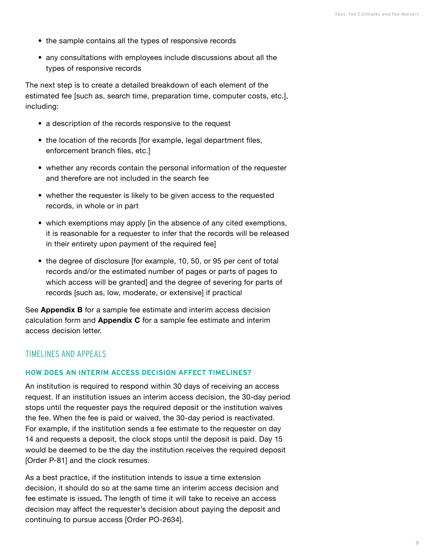- <span id="page-10-0"></span>• the sample contains all the types of responsive records
- any consultations with employees include discussions about all the types of responsive records

The next step is to create a detailed breakdown of each element of the estimated fee [such as, search time, preparation time, computer costs, etc.], including:

- a description of the records responsive to the request
- the location of the records [for example, legal department files, enforcement branch files, etc.]
- whether any records contain the personal information of the requester and therefore are not included in the search fee
- whether the requester is likely to be given access to the requested records, in whole or in part
- which exemptions may apply [in the absence of any cited exemptions, it is reasonable for a requester to infer that the records will be released in their entirety upon payment of the required fee]
- the degree of disclosure [for example, 10, 50, or 95 per cent of total records and/or the estimated number of pages or parts of pages to which access will be granted] and the degree of severing for parts of records [such as, low, moderate, or extensive] if practical

See **Appendix B** for a sample fee estimate and interim access decision calculation form and **Appendix C** for a sample fee estimate and interim access decision letter.

## TIMELINES AND APPEALS

#### **HOW DOES AN INTERIM ACCESS DECISION AFFECT TIMELINES?**

An institution is required to respond within 30 days of receiving an access request. If an institution issues an interim access decision, the 30-day period stops until the requester pays the required deposit or the institution waives the fee. When the fee is paid or waived, the 30-day period is reactivated. For example, if the institution sends a fee estimate to the requester on day 14 and requests a deposit, the clock stops until the deposit is paid. Day 15 would be deemed to be the day the institution receives the required deposit [Order P-81] and the clock resumes.

As a best practice, if the institution intends to issue a time extension decision, it should do so at the same time an interim access decision and fee estimate is issued**.** The length of time it will take to receive an access decision may affect the requester's decision about paying the deposit and continuing to pursue access [Order PO-2634].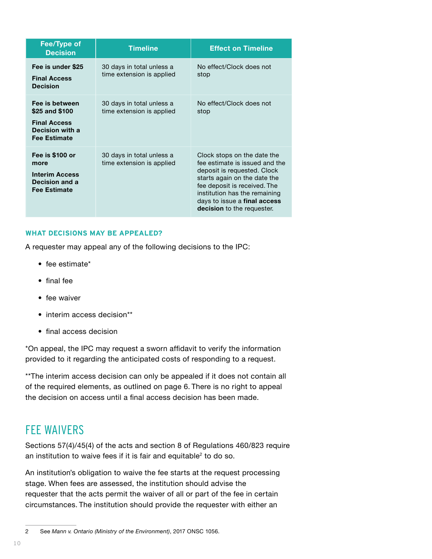<span id="page-11-0"></span>

| <b>Fee/Type of</b><br><b>Decision</b>                                                             | <b>Timeline</b>                                        | <b>Effect on Timeline</b>                                                                                                                                                                                                                                          |
|---------------------------------------------------------------------------------------------------|--------------------------------------------------------|--------------------------------------------------------------------------------------------------------------------------------------------------------------------------------------------------------------------------------------------------------------------|
| Fee is under \$25<br><b>Final Access</b><br><b>Decision</b>                                       | 30 days in total unless a<br>time extension is applied | No effect/Clock does not<br>stop                                                                                                                                                                                                                                   |
| Fee is between<br>\$25 and \$100<br><b>Final Access</b><br>Decision with a<br><b>Fee Estimate</b> | 30 days in total unless a<br>time extension is applied | No effect/Clock does not<br>stop                                                                                                                                                                                                                                   |
| Fee is \$100 or<br>more<br><b>Interim Access</b><br>Decision and a<br><b>Fee Estimate</b>         | 30 days in total unless a<br>time extension is applied | Clock stops on the date the<br>fee estimate is issued and the<br>deposit is requested. Clock<br>starts again on the date the<br>fee deposit is received. The<br>institution has the remaining<br>days to issue a final access<br><b>decision</b> to the requester. |

#### **WHAT DECISIONS MAY BE APPEALED?**

A requester may appeal any of the following decisions to the IPC:

- fee estimate\*
- final fee
- fee waiver
- interim access decision\*\*
- final access decision

\*On appeal, the IPC may request a sworn affidavit to verify the information provided to it regarding the anticipated costs of responding to a request.

\*\*The interim access decision can only be appealed if it does not contain all of the required elements, as outlined on page 6. There is no right to appeal the decision on access until a final access decision has been made.

# FEE WAIVERS

Sections 57(4)/45(4) of the acts and section 8 of Regulations 460/823 require an institution to waive fees if it is fair and equitable<sup>2</sup> to do so.

An institution's obligation to waive the fee starts at the request processing stage. When fees are assessed, the institution should advise the requester that the acts permit the waiver of all or part of the fee in certain circumstances. The institution should provide the requester with either an

<sup>2</sup> See *Mann v. Ontario (Ministry of the Environment)*, 2017 ONSC 1056.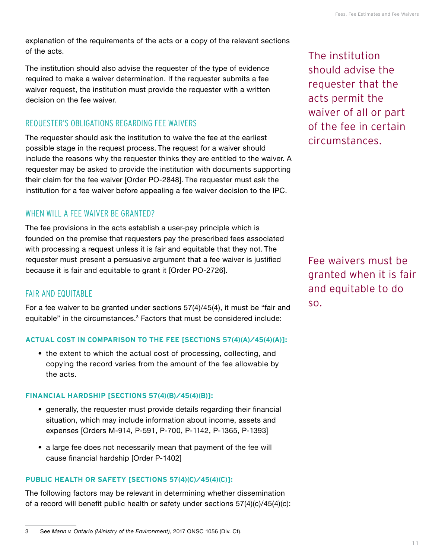<span id="page-12-0"></span>explanation of the requirements of the acts or a copy of the relevant sections of the acts.

The institution should also advise the requester of the type of evidence required to make a waiver determination. If the requester submits a fee waiver request, the institution must provide the requester with a written decision on the fee waiver.

## REQUESTER'S OBLIGATIONS REGARDING FEE WAIVERS

The requester should ask the institution to waive the fee at the earliest possible stage in the request process. The request for a waiver should include the reasons why the requester thinks they are entitled to the waiver. A requester may be asked to provide the institution with documents supporting their claim for the fee waiver [Order PO-2848]. The requester must ask the institution for a fee waiver before appealing a fee waiver decision to the IPC.

## WHEN WILL A FEE WAIVER BE GRANTED?

The fee provisions in the acts establish a user-pay principle which is founded on the premise that requesters pay the prescribed fees associated with processing a request unless it is fair and equitable that they not. The requester must present a persuasive argument that a fee waiver is justified because it is fair and equitable to grant it [Order PO-2726].

## FAIR AND EQUITABLE

For a fee waiver to be granted under sections 57(4)/45(4), it must be "fair and equitable" in the circumstances.<sup>3</sup> Factors that must be considered include:

#### **ACTUAL COST IN COMPARISON TO THE FEE [SECTIONS 57(4)(A)/45(4)(A)]:**

• the extent to which the actual cost of processing, collecting, and copying the record varies from the amount of the fee allowable by the acts.

#### **FINANCIAL HARDSHIP [SECTIONS 57(4)(B)/45(4)(B)]:**

- generally, the requester must provide details regarding their financial situation, which may include information about income, assets and expenses [Orders M-914, P-591, P-700, P-1142, P-1365, P-1393]
- a large fee does not necessarily mean that payment of the fee will cause financial hardship [Order P-1402]

#### **PUBLIC HEALTH OR SAFETY [SECTIONS 57(4)(C)/45(4)(C)]:**

The following factors may be relevant in determining whether dissemination of a record will benefit public health or safety under sections 57(4)(c)/45(4)(c):

The institution should advise the requester that the acts permit the waiver of all or part of the fee in certain circumstances.

Fee waivers must be granted when it is fair and equitable to do so.

<sup>3</sup> See *Mann v. Ontario (Ministry of the Environment)*, 2017 ONSC 1056 (Div. Ct).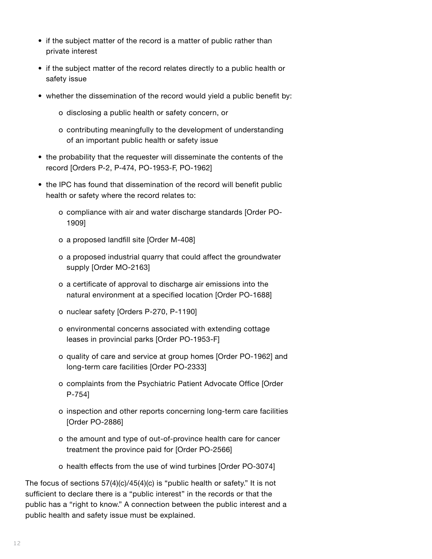- if the subject matter of the record is a matter of public rather than private interest
- if the subject matter of the record relates directly to a public health or safety issue
- whether the dissemination of the record would yield a public benefit by:
	- o disclosing a public health or safety concern, or
	- o contributing meaningfully to the development of understanding of an important public health or safety issue
- the probability that the requester will disseminate the contents of the record [Orders P-2, P-474, PO-1953-F, PO-1962]
- the IPC has found that dissemination of the record will benefit public health or safety where the record relates to:
	- o compliance with air and water discharge standards [Order PO-1909]
	- o a proposed landfill site [Order M-408]
	- o a proposed industrial quarry that could affect the groundwater supply [Order MO-2163]
	- o a certificate of approval to discharge air emissions into the natural environment at a specified location [Order PO-1688]
	- o nuclear safety [Orders P-270, P-1190]
	- o environmental concerns associated with extending cottage leases in provincial parks [Order PO-1953-F]
	- o quality of care and service at group homes [Order PO-1962] and long-term care facilities [Order PO-2333]
	- o complaints from the Psychiatric Patient Advocate Office [Order P-754]
	- o inspection and other reports concerning long-term care facilities [Order PO-2886]
	- o the amount and type of out-of-province health care for cancer treatment the province paid for [Order PO-2566]
	- o health effects from the use of wind turbines [Order PO-3074]

The focus of sections 57(4)(c)/45(4)(c) is "public health or safety." It is not sufficient to declare there is a "public interest" in the records or that the public has a "right to know." A connection between the public interest and a public health and safety issue must be explained.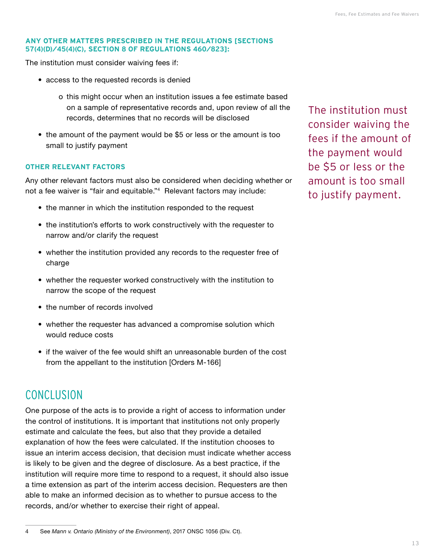#### <span id="page-14-0"></span>**ANY OTHER MATTERS PRESCRIBED IN THE REGULATIONS [SECTIONS 57(4)(D)/45(4)(C), SECTION 8 OF REGULATIONS 460/823]:**

The institution must consider waiving fees if:

- access to the requested records is denied
	- o this might occur when an institution issues a fee estimate based on a sample of representative records and, upon review of all the records, determines that no records will be disclosed
- the amount of the payment would be \$5 or less or the amount is too small to justify payment

#### **OTHER RELEVANT FACTORS**

Any other relevant factors must also be considered when deciding whether or not a fee waiver is "fair and equitable."4 Relevant factors may include:

- the manner in which the institution responded to the request
- the institution's efforts to work constructively with the requester to narrow and/or clarify the request
- whether the institution provided any records to the requester free of charge
- whether the requester worked constructively with the institution to narrow the scope of the request
- the number of records involved
- whether the requester has advanced a compromise solution which would reduce costs
- if the waiver of the fee would shift an unreasonable burden of the cost from the appellant to the institution [Orders M-166]

# **CONCLUSION**

One purpose of the acts is to provide a right of access to information under the control of institutions. It is important that institutions not only properly estimate and calculate the fees, but also that they provide a detailed explanation of how the fees were calculated. If the institution chooses to issue an interim access decision, that decision must indicate whether access is likely to be given and the degree of disclosure. As a best practice, if the institution will require more time to respond to a request, it should also issue a time extension as part of the interim access decision. Requesters are then able to make an informed decision as to whether to pursue access to the records, and/or whether to exercise their right of appeal.

The institution must consider waiving the fees if the amount of the payment would be \$5 or less or the amount is too small to justify payment.

<sup>4</sup> See *Mann v. Ontario (Ministry of the Environment)*, 2017 ONSC 1056 (Div. Ct).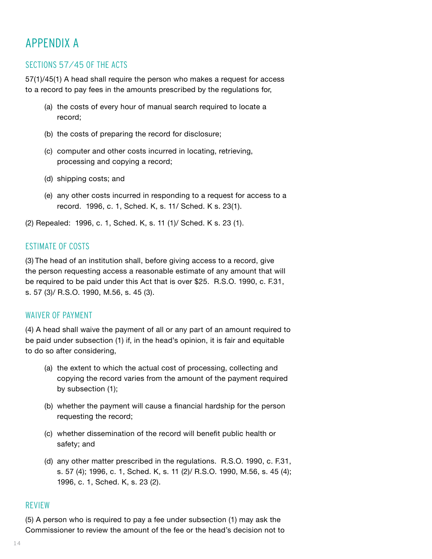# <span id="page-15-0"></span>APPENDIX A

# SECTIONS 57/45 OF THE ACTS

57(1)/45(1) A head shall require the person who makes a request for access to a record to pay fees in the amounts prescribed by the regulations for,

- (a) the costs of every hour of manual search required to locate a record;
- (b) the costs of preparing the record for disclosure;
- (c) computer and other costs incurred in locating, retrieving, processing and copying a record;
- (d) shipping costs; and
- (e) any other costs incurred in responding to a request for access to a record. 1996, c. 1, Sched. K, s. 11/ Sched. K s. 23(1).

(2) Repealed: 1996, c. 1, Sched. K, s. 11 (1)/ Sched. K s. 23 (1).

## ESTIMATE OF COSTS

(3) The head of an institution shall, before giving access to a record, give the person requesting access a reasonable estimate of any amount that will be required to be paid under this Act that is over \$25. R.S.O. 1990, c. F.31, s. 57 (3)/ R.S.O. 1990, M.56, s. 45 (3).

## WAIVER OF PAYMENT

(4) A head shall waive the payment of all or any part of an amount required to be paid under subsection (1) if, in the head's opinion, it is fair and equitable to do so after considering,

- (a) the extent to which the actual cost of processing, collecting and copying the record varies from the amount of the payment required by subsection (1);
- (b) whether the payment will cause a financial hardship for the person requesting the record;
- (c) whether dissemination of the record will benefit public health or safety; and
- (d) any other matter prescribed in the regulations. R.S.O. 1990, c. F.31, s. 57 (4); 1996, c. 1, Sched. K, s. 11 (2)/ R.S.O. 1990, M.56, s. 45 (4); 1996, c. 1, Sched. K, s. 23 (2).

## REVIEW

(5) A person who is required to pay a fee under subsection (1) may ask the Commissioner to review the amount of the fee or the head's decision not to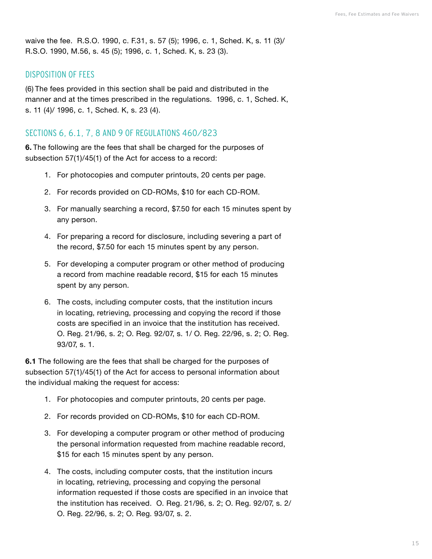waive the fee. R.S.O. 1990, c. F.31, s. 57 (5); 1996, c. 1, Sched. K, s. 11 (3)/ R.S.O. 1990, M.56, s. 45 (5); 1996, c. 1, Sched. K, s. 23 (3).

#### DISPOSITION OF FEES

(6) The fees provided in this section shall be paid and distributed in the manner and at the times prescribed in the regulations. 1996, c. 1, Sched. K, s. 11 (4)/ 1996, c. 1, Sched. K, s. 23 (4).

#### SECTIONS 6, 6.1, 7, 8 AND 9 OF REGULATIONS 460/823

**6.** The following are the fees that shall be charged for the purposes of subsection 57(1)/45(1) of the Act for access to a record:

- 1. For photocopies and computer printouts, 20 cents per page.
- 2. For records provided on CD-ROMs, \$10 for each CD-ROM.
- 3. For manually searching a record, \$7.50 for each 15 minutes spent by any person.
- 4. For preparing a record for disclosure, including severing a part of the record, \$7.50 for each 15 minutes spent by any person.
- 5. For developing a computer program or other method of producing a record from machine readable record, \$15 for each 15 minutes spent by any person.
- 6. The costs, including computer costs, that the institution incurs in locating, retrieving, processing and copying the record if those costs are specified in an invoice that the institution has received. O. Reg. 21/96, s. 2; O. Reg. 92/07, s. 1/ O. Reg. 22/96, s. 2; O. Reg. 93/07, s. 1.

**6.1** The following are the fees that shall be charged for the purposes of subsection 57(1)/45(1) of the Act for access to personal information about the individual making the request for access:

- 1. For photocopies and computer printouts, 20 cents per page.
- 2. For records provided on CD-ROMs, \$10 for each CD-ROM.
- 3. For developing a computer program or other method of producing the personal information requested from machine readable record, \$15 for each 15 minutes spent by any person.
- 4. The costs, including computer costs, that the institution incurs in locating, retrieving, processing and copying the personal information requested if those costs are specified in an invoice that the institution has received. O. Reg. 21/96, s. 2; O. Reg. 92/07, s. 2/ O. Reg. 22/96, s. 2; O. Reg. 93/07, s. 2.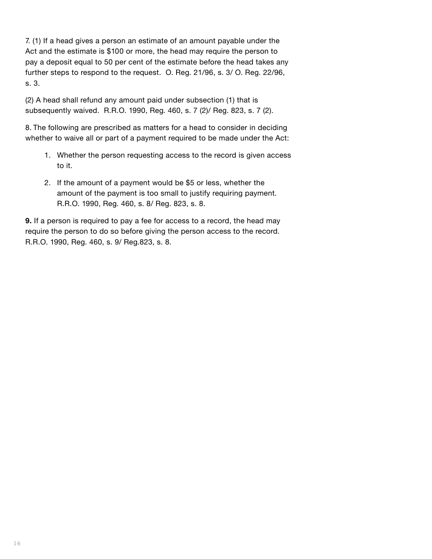7. (1) If a head gives a person an estimate of an amount payable under the Act and the estimate is \$100 or more, the head may require the person to pay a deposit equal to 50 per cent of the estimate before the head takes any further steps to respond to the request. O. Reg. 21/96, s. 3/ O. Reg. 22/96, s. 3.

(2) A head shall refund any amount paid under subsection (1) that is subsequently waived. R.R.O. 1990, Reg. 460, s. 7 (2)/ Reg. 823, s. 7 (2).

8. The following are prescribed as matters for a head to consider in deciding whether to waive all or part of a payment required to be made under the Act:

- 1. Whether the person requesting access to the record is given access to it.
- 2. If the amount of a payment would be \$5 or less, whether the amount of the payment is too small to justify requiring payment. R.R.O. 1990, Reg. 460, s. 8/ Reg. 823, s. 8.

**9.** If a person is required to pay a fee for access to a record, the head may require the person to do so before giving the person access to the record. R.R.O. 1990, Reg. 460, s. 9/ Reg.823, s. 8.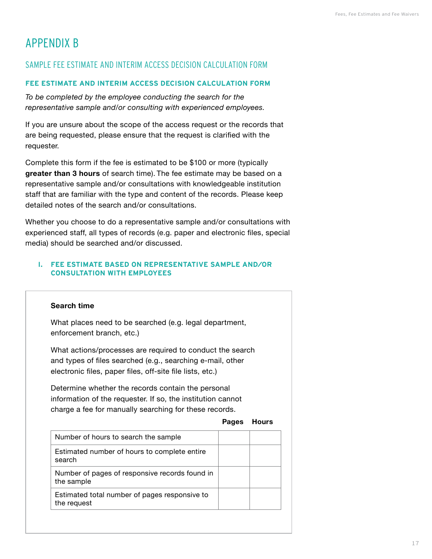# <span id="page-18-0"></span>APPENDIX B

# SAMPLE FEE ESTIMATE AND INTERIM ACCESS DECISION CALCULATION FORM

#### **FEE ESTIMATE AND INTERIM ACCESS DECISION CALCULATION FORM**

*To be completed by the employee conducting the search for the representative sample and/or consulting with experienced employees.*

If you are unsure about the scope of the access request or the records that are being requested, please ensure that the request is clarified with the requester.

Complete this form if the fee is estimated to be \$100 or more (typically **greater than 3 hours** of search time). The fee estimate may be based on a representative sample and/or consultations with knowledgeable institution staff that are familiar with the type and content of the records. Please keep detailed notes of the search and/or consultations.

Whether you choose to do a representative sample and/or consultations with experienced staff, all types of records (e.g. paper and electronic files, special media) should be searched and/or discussed.

#### **I. FEE ESTIMATE BASED ON REPRESENTATIVE SAMPLE AND/OR CONSULTATION WITH EMPLOYEES**

#### **Search time**

What places need to be searched (e.g. legal department, enforcement branch, etc.)

What actions/processes are required to conduct the search and types of files searched (e.g., searching e-mail, other electronic files, paper files, off-site file lists, etc.)

Determine whether the records contain the personal information of the requester. If so, the institution cannot charge a fee for manually searching for these records.

#### **Pages Hours**

| Number of hours to search the sample                         |  |
|--------------------------------------------------------------|--|
| Estimated number of hours to complete entire<br>search       |  |
| Number of pages of responsive records found in<br>the sample |  |
| Estimated total number of pages responsive to<br>the request |  |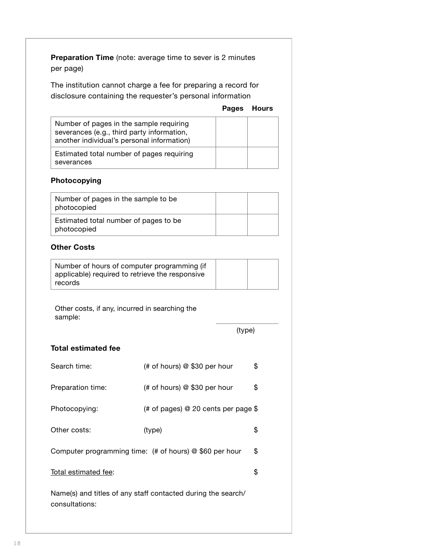**Preparation Time** (note: average time to sever is 2 minutes per page)

The institution cannot charge a fee for preparing a record for disclosure containing the requester's personal information

#### **Pages Hours**

| Number of pages in the sample requiring<br>severances (e.g., third party information,<br>another individual's personal information) |  |
|-------------------------------------------------------------------------------------------------------------------------------------|--|
| Estimated total number of pages requiring<br>severances                                                                             |  |

#### **Photocopying**

| Number of pages in the sample to be<br>photocopied   |  |
|------------------------------------------------------|--|
| Estimated total number of pages to be<br>photocopied |  |

#### **Other Costs**

| Number of hours of computer programming (if     |  |
|-------------------------------------------------|--|
| applicable) required to retrieve the responsive |  |
| records                                         |  |

Other costs, if any, incurred in searching the sample:

(type)

#### **Total estimated fee**

| Search time:                                                                   | (# of hours) @ \$30 per hour                                        | \$ |  |
|--------------------------------------------------------------------------------|---------------------------------------------------------------------|----|--|
| Preparation time:                                                              | (# of hours) @ \$30 per hour                                        | \$ |  |
| Photocopying:                                                                  | (# of pages) $@$ 20 cents per page $\$$                             |    |  |
| Other costs:                                                                   | (type)                                                              | \$ |  |
|                                                                                | Computer programming time: $($ # of hours $)$ $\circ$ \$60 per hour | \$ |  |
| Total estimated fee:                                                           |                                                                     | \$ |  |
| Name(s) and titles of any staff contacted during the search/<br>consultations: |                                                                     |    |  |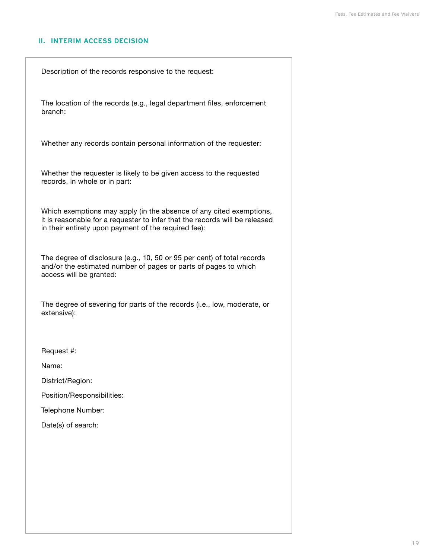#### **II. INTERIM ACCESS DECISION**

Description of the records responsive to the request:

The location of the records (e.g., legal department files, enforcement branch:

Whether any records contain personal information of the requester:

Whether the requester is likely to be given access to the requested records, in whole or in part:

Which exemptions may apply (in the absence of any cited exemptions, it is reasonable for a requester to infer that the records will be released in their entirety upon payment of the required fee):

The degree of disclosure (e.g., 10, 50 or 95 per cent) of total records and/or the estimated number of pages or parts of pages to which access will be granted:

The degree of severing for parts of the records (i.e., low, moderate, or extensive):

Request #:

Name:

District/Region:

Position/Responsibilities:

Telephone Number:

Date(s) of search: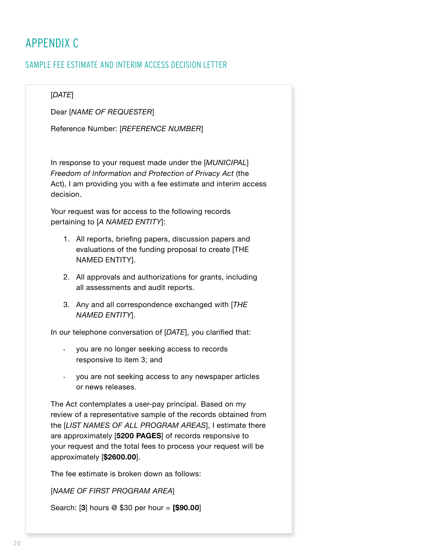# <span id="page-21-0"></span>APPENDIX C

# SAMPLE FEE ESTIMATE AND INTERIM ACCESS DECISION LETTER

#### [*DATE*]

Dear [*NAME OF REQUESTER*]

Reference Number: [*REFERENCE NUMBER*]

In response to your request made under the [*MUNICIPAL*] *Freedom of Information and Protection of Privacy Act* (the Act), I am providing you with a fee estimate and interim access decision.

Your request was for access to the following records pertaining to [*A NAMED ENTITY*]:

- 1. All reports, briefing papers, discussion papers and evaluations of the funding proposal to create [THE NAMED ENTITY].
- 2. All approvals and authorizations for grants, including all assessments and audit reports.
- 3. Any and all correspondence exchanged with [*THE NAMED ENTITY*].

In our telephone conversation of [*DATE*], you clarified that:

- you are no longer seeking access to records responsive to item 3; and
- you are not seeking access to any newspaper articles or news releases.

The Act contemplates a user-pay principal. Based on my review of a representative sample of the records obtained from the [*LIST NAMES OF ALL PROGRAM AREAS*], I estimate there are approximately [**5200 PAGES**] of records responsive to your request and the total fees to process your request will be approximately [**\$2600.00**].

The fee estimate is broken down as follows:

[*NAME OF FIRST PROGRAM AREA*]

Search: [**3**] hours @ \$30 per hour = **[\$90.00**]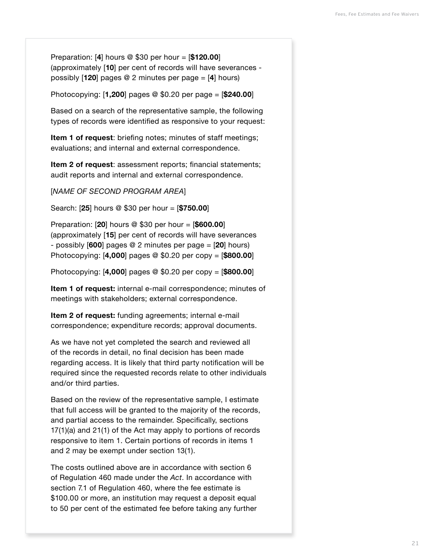Preparation: [**4**] hours @ \$30 per hour = [**\$120.00**] (approximately [**10**] per cent of records will have severances possibly [**120**] pages @ 2 minutes per page = [**4**] hours)

Photocopying: [**1,200**] pages @ \$0.20 per page = [**\$240.00**]

Based on a search of the representative sample, the following types of records were identified as responsive to your request:

**Item 1 of request**: briefing notes; minutes of staff meetings; evaluations; and internal and external correspondence.

**Item 2 of request**: assessment reports; financial statements; audit reports and internal and external correspondence.

[*NAME OF SECOND PROGRAM AREA*]

Search: [**25**] hours @ \$30 per hour = [**\$750.00**]

Preparation: [**20**] hours @ \$30 per hour = [**\$600.00**] (approximately [**15**] per cent of records will have severances - possibly [**600**] pages @ 2 minutes per page = [**20**] hours) Photocopying: [**4,000**] pages @ \$0.20 per copy = [**\$800.00**]

Photocopying: [**4,000**] pages @ \$0.20 per copy = [**\$800.00**]

**Item 1 of request:** internal e-mail correspondence; minutes of meetings with stakeholders; external correspondence.

**Item 2 of request:** funding agreements; internal e-mail correspondence; expenditure records; approval documents.

As we have not yet completed the search and reviewed all of the records in detail, no final decision has been made regarding access. It is likely that third party notification will be required since the requested records relate to other individuals and/or third parties.

Based on the review of the representative sample, I estimate that full access will be granted to the majority of the records, and partial access to the remainder. Specifically, sections 17(1)(a) and 21(1) of the Act may apply to portions of records responsive to item 1. Certain portions of records in items 1 and 2 may be exempt under section 13(1).

The costs outlined above are in accordance with section 6 of Regulation 460 made under the *Act*. In accordance with section 7.1 of Regulation 460, where the fee estimate is \$100.00 or more, an institution may request a deposit equal to 50 per cent of the estimated fee before taking any further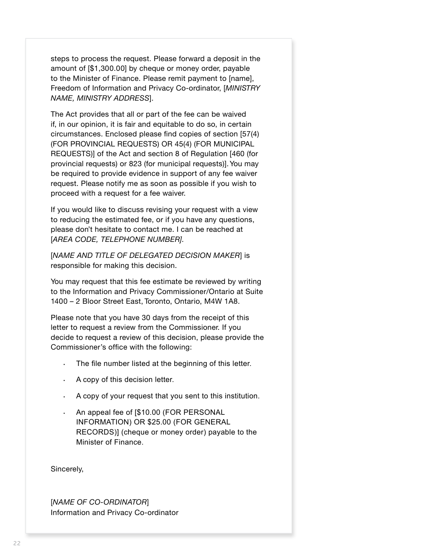steps to process the request. Please forward a deposit in the amount of [\$1,300.00] by cheque or money order, payable to the Minister of Finance. Please remit payment to [name], Freedom of Information and Privacy Co-ordinator, [*MINISTRY NAME, MINISTRY ADDRESS*].

The Act provides that all or part of the fee can be waived if, in our opinion, it is fair and equitable to do so, in certain circumstances. Enclosed please find copies of section [57(4) (FOR PROVINCIAL REQUESTS) OR 45(4) (FOR MUNICIPAL REQUESTS)] of the Act and section 8 of Regulation [460 (for provincial requests) or 823 (for municipal requests)]. You may be required to provide evidence in support of any fee waiver request. Please notify me as soon as possible if you wish to proceed with a request for a fee waiver.

If you would like to discuss revising your request with a view to reducing the estimated fee, or if you have any questions, please don't hesitate to contact me. I can be reached at [*AREA CODE, TELEPHONE NUMBER].*

[*NAME AND TITLE OF DELEGATED DECISION MAKER*] is responsible for making this decision.

You may request that this fee estimate be reviewed by writing to the Information and Privacy Commissioner/Ontario at Suite 1400 – 2 Bloor Street East, Toronto, Ontario, M4W 1A8.

Please note that you have 30 days from the receipt of this letter to request a review from the Commissioner. If you decide to request a review of this decision, please provide the Commissioner's office with the following:

- The file number listed at the beginning of this letter.
- A copy of this decision letter.
- A copy of your request that you sent to this institution.
- An appeal fee of [\$10.00 (FOR PERSONAL INFORMATION) OR \$25.00 (FOR GENERAL RECORDS)] (cheque or money order) payable to the Minister of Finance.

Sincerely,

[*NAME OF CO-ORDINATOR*] Information and Privacy Co-ordinator